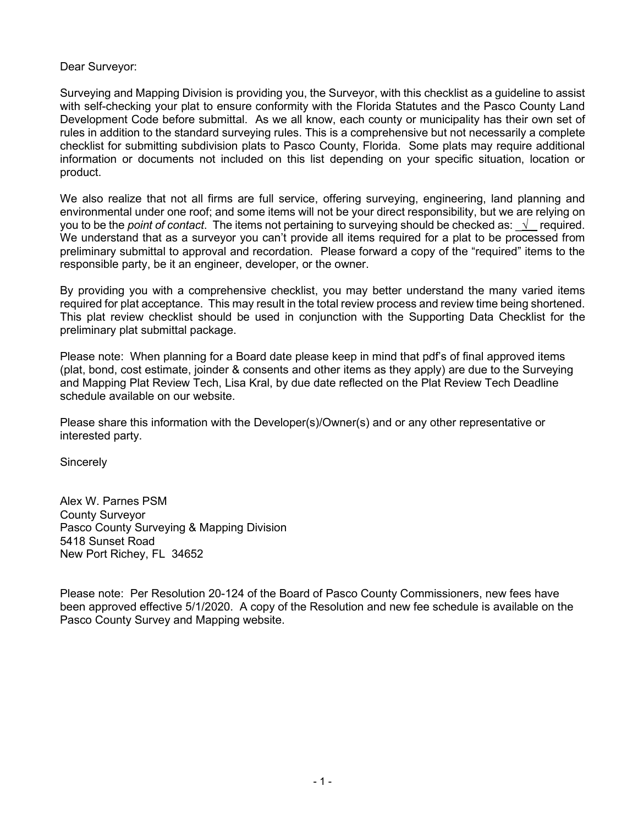Dear Surveyor:

Surveying and Mapping Division is providing you, the Surveyor, with this checklist as a guideline to assist with self-checking your plat to ensure conformity with the Florida Statutes and the Pasco County Land Development Code before submittal. As we all know, each county or municipality has their own set of rules in addition to the standard surveying rules. This is a comprehensive but not necessarily a complete checklist for submitting subdivision plats to Pasco County, Florida. Some plats may require additional information or documents not included on this list depending on your specific situation, location or product.

We also realize that not all firms are full service, offering surveying, engineering, land planning and environmental under one roof; and some items will not be your direct responsibility, but we are relying on you to be the *point of contact*. The items not pertaining to surveying should be checked as: \_√ \_ required. We understand that as a surveyor you can't provide all items required for a plat to be processed from preliminary submittal to approval and recordation. Please forward a copy of the "required" items to the responsible party, be it an engineer, developer, or the owner.

By providing you with a comprehensive checklist, you may better understand the many varied items required for plat acceptance. This may result in the total review process and review time being shortened. This plat review checklist should be used in conjunction with the Supporting Data Checklist for the preliminary plat submittal package.

Please note: When planning for a Board date please keep in mind that pdf's of final approved items (plat, bond, cost estimate, joinder & consents and other items as they apply) are due to the Surveying and Mapping Plat Review Tech, Lisa Kral, by due date reflected on the Plat Review Tech Deadline schedule available on our website.

Please share this information with the Developer(s)/Owner(s) and or any other representative or interested party.

**Sincerely** 

Alex W. Parnes PSM County Surveyor Pasco County Surveying & Mapping Division 5418 Sunset Road New Port Richey, FL 34652

Please note: Per Resolution 20-124 of the Board of Pasco County Commissioners, new fees have been approved effective 5/1/2020. A copy of the Resolution and new fee schedule is available on the Pasco County Survey and Mapping website.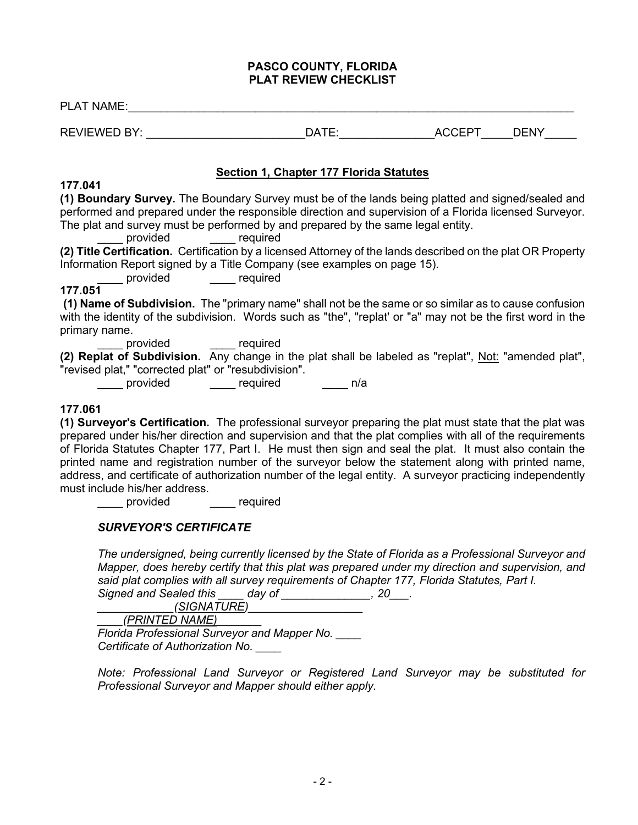#### **PASCO COUNTY, FLORIDA PLAT REVIEW CHECKLIST**

| <b>PLAT NAME:</b> THE RESERVE TO A RESERVE THE RESERVE TO A RESERVE THE RESERVE THE RESERVE TO A RESERVE THE RESERVE THAN A RESERVE THAN A RESERVE THAN A RESERVE THAN A RESERVE THAN A RESERVE THAN A RESERVE THAN A RESERVE THAN                                                                                  |                                                |  |  |  |  |  |
|---------------------------------------------------------------------------------------------------------------------------------------------------------------------------------------------------------------------------------------------------------------------------------------------------------------------|------------------------------------------------|--|--|--|--|--|
|                                                                                                                                                                                                                                                                                                                     |                                                |  |  |  |  |  |
|                                                                                                                                                                                                                                                                                                                     | <b>Section 1, Chapter 177 Florida Statutes</b> |  |  |  |  |  |
| 177.041                                                                                                                                                                                                                                                                                                             |                                                |  |  |  |  |  |
| (1) Boundary Survey. The Boundary Survey must be of the lands being platted and signed/sealed and<br>performed and prepared under the responsible direction and supervision of a Florida licensed Surveyor.<br>The plat and survey must be performed by and prepared by the same legal entity.<br>provided required |                                                |  |  |  |  |  |
| (2) Title Certification. Certification by a licensed Attorney of the lands described on the plat OR Property                                                                                                                                                                                                        |                                                |  |  |  |  |  |
| Information Report signed by a Title Company (see examples on page 15).<br>________ provided ______ required                                                                                                                                                                                                        |                                                |  |  |  |  |  |
| 177.051                                                                                                                                                                                                                                                                                                             |                                                |  |  |  |  |  |
| (1) Name of Subdivision. The "primary name" shall not be the same or so similar as to cause confusion<br>with the identity of the subdivision. Words such as "the", "replat' or "a" may not be the first word in the<br>primary name.                                                                               |                                                |  |  |  |  |  |
| provided <u>Lateral</u> required                                                                                                                                                                                                                                                                                    |                                                |  |  |  |  |  |
| (2) Replat of Subdivision. Any change in the plat shall be labeled as "replat", Not: "amended plat",<br>"revised plat," "corrected plat" or "resubdivision".                                                                                                                                                        |                                                |  |  |  |  |  |
|                                                                                                                                                                                                                                                                                                                     |                                                |  |  |  |  |  |
| 177.061<br>(1) Surveyor's Certification. The professional surveyor preparing the plat must state that the plat was<br>prepared under his/her direction and supervision and that the plat complies with all of the requirements                                                                                      |                                                |  |  |  |  |  |

of Florida Statutes Chapter 177, Part I. He must then sign and seal the plat. It must also contain the printed name and registration number of the surveyor below the statement along with printed name, address, and certificate of authorization number of the legal entity. A surveyor practicing independently must include his/her address.

\_\_\_\_ provided \_\_\_\_ required

# *SURVEYOR'S CERTIFICATE*

*The undersigned, being currently licensed by the State of Florida as a Professional Surveyor and Mapper, does hereby certify that this plat was prepared under my direction and supervision, and said plat complies with all survey requirements of Chapter 177, Florida Statutes, Part I.*

*Signed and Sealed this \_\_\_\_ day of \_\_\_\_\_\_\_\_\_\_\_\_\_\_, 20\_\_\_.*

*\_\_\_\_\_\_\_\_\_\_\_\_(SIGNATURE)\_\_\_\_\_\_\_\_\_\_\_\_\_\_\_\_\_\_*

*\_\_\_\_(PRINTED NAME)\_\_\_\_\_\_\_*

*Florida Professional Surveyor and Mapper No. \_\_\_\_ Certificate of Authorization No. \_\_\_\_*

*Note: Professional Land Surveyor or Registered Land Surveyor may be substituted for Professional Surveyor and Mapper should either apply.*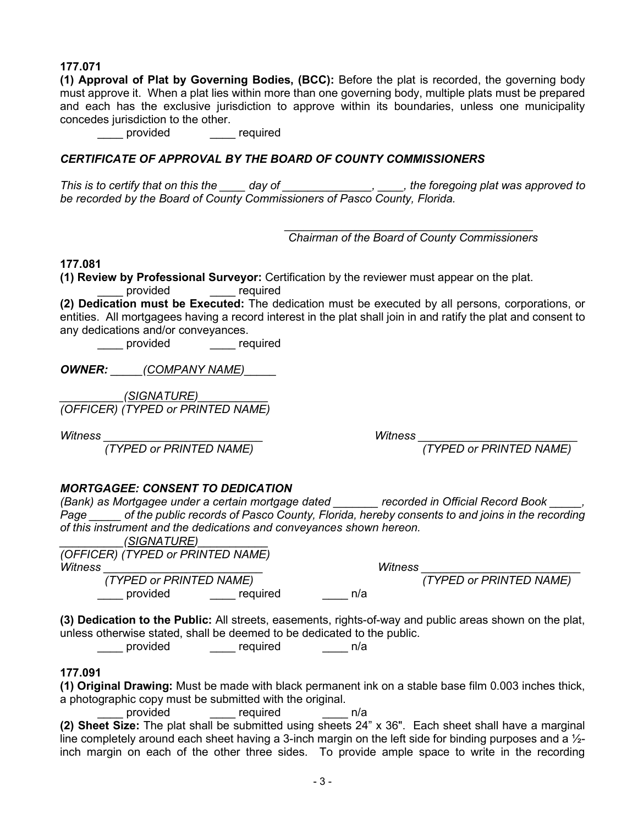### **177.071**

**(1) Approval of Plat by Governing Bodies, (BCC):** Before the plat is recorded, the governing body must approve it. When a plat lies within more than one governing body, multiple plats must be prepared and each has the exclusive jurisdiction to approve within its boundaries, unless one municipality concedes jurisdiction to the other.

provided expression required

### *CERTIFICATE OF APPROVAL BY THE BOARD OF COUNTY COMMISSIONERS*

*This is to certify that on this the \_\_\_\_ day of \_\_\_\_\_\_\_\_\_\_\_\_\_\_, \_\_\_\_, the foregoing plat was approved to be recorded by the Board of County Commissioners of Pasco County, Florida.*

> *\_\_\_\_\_\_\_\_\_\_\_\_\_\_\_\_\_\_\_\_\_\_\_\_\_\_\_\_\_\_\_\_\_\_\_\_\_\_\_ Chairman of the Board of County Commissioners*

#### **177.081**

**(1) Review by Professional Surveyor:** Certification by the reviewer must appear on the plat.

provided example required

**(2) Dedication must be Executed:** The dedication must be executed by all persons, corporations, or entities. All mortgagees having a record interest in the plat shall join in and ratify the plat and consent to any dedications and/or conveyances.

\_\_\_\_ provided \_\_\_\_ required

*OWNER: \_\_\_\_\_(COMPANY NAME)\_\_\_\_\_* 

*\_\_\_\_\_\_\_\_\_\_(SIGNATURE)\_\_\_\_\_\_\_\_\_\_\_ (OFFICER) (TYPED or PRINTED NAME)* 

 *(TYPED or PRINTED NAME) (TYPED or PRINTED NAME)*

*Witness \_\_\_\_\_\_\_\_\_\_\_\_\_\_\_\_\_\_\_\_\_\_\_\_\_ Witness \_\_\_\_\_\_\_\_\_\_\_\_\_\_\_\_\_\_\_\_\_\_\_\_\_*

# *MORTGAGEE: CONSENT TO DEDICATION*

*(Bank) as Mortgagee under a certain mortgage dated \_\_\_\_\_\_\_ recorded in Official Record Book \_\_\_\_\_, Page \_\_\_\_\_ of the public records of Pasco County, Florida, hereby consents to and joins in the recording of this instrument and the dedications and conveyances shown hereon.*

|         | (SIGNATURE)                       |          |     |         |                         |
|---------|-----------------------------------|----------|-----|---------|-------------------------|
|         | (OFFICER) (TYPED or PRINTED NAME) |          |     |         |                         |
| Witness |                                   |          |     | Witness |                         |
|         | (TYPED or PRINTED NAME)           |          |     |         | (TYPED or PRINTED NAME) |
|         | provided                          | required | n/a |         |                         |

**(3) Dedication to the Public:** All streets, easements, rights-of-way and public areas shown on the plat,

unless otherwise stated, shall be deemed to be dedicated to the public.<br>provided \_\_\_\_\_\_\_ required n/a \_\_\_\_\_ required \_\_\_\_ n/a

# **177.091**

**(1) Original Drawing:** Must be made with black permanent ink on a stable base film 0.003 inches thick, a photographic copy must be submitted with the original.

provided required h/a

**(2) Sheet Size:** The plat shall be submitted using sheets 24" x 36". Each sheet shall have a marginal line completely around each sheet having a 3-inch margin on the left side for binding purposes and a  $\frac{1}{2}$ inch margin on each of the other three sides. To provide ample space to write in the recording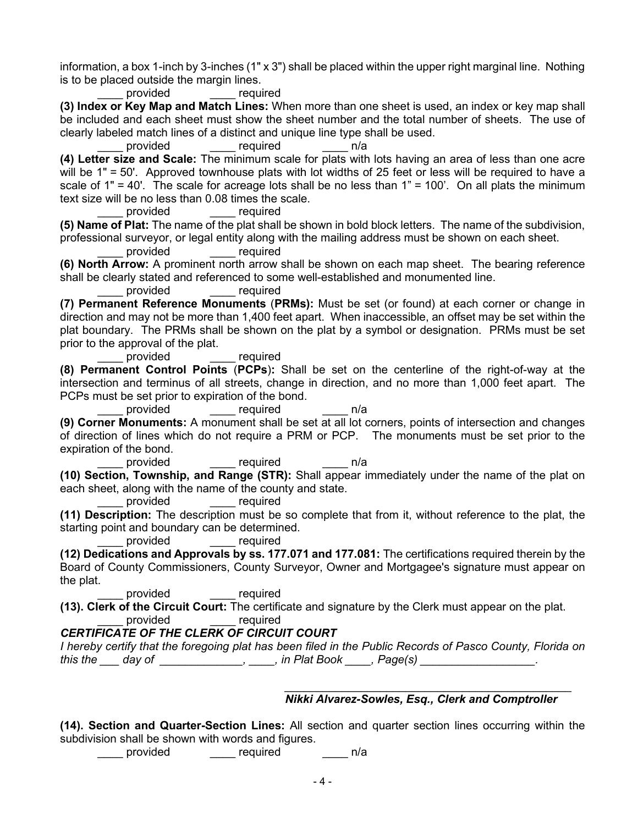information, a box 1-inch by 3-inches (1" x 3") shall be placed within the upper right marginal line. Nothing is to be placed outside the margin lines.

provided required

**(3) Index or Key Map and Match Lines:** When more than one sheet is used, an index or key map shall be included and each sheet must show the sheet number and the total number of sheets. The use of clearly labeled match lines of a distinct and unique line type shall be used.

provided required n/a

**(4) Letter size and Scale:** The minimum scale for plats with lots having an area of less than one acre will be 1" = 50'. Approved townhouse plats with lot widths of 25 feet or less will be required to have a scale of  $1'' = 40'$ . The scale for acreage lots shall be no less than  $1'' = 100'$ . On all plats the minimum text size will be no less than 0.08 times the scale.

\_\_\_\_ provided \_\_\_\_ required

**(5) Name of Plat:** The name of the plat shall be shown in bold block letters. The name of the subdivision, professional surveyor, or legal entity along with the mailing address must be shown on each sheet.

provided required

**(6) North Arrow:** A prominent north arrow shall be shown on each map sheet. The bearing reference shall be clearly stated and referenced to some well-established and monumented line.

provided required

**(7) Permanent Reference Monuments** (**PRMs):** Must be set (or found) at each corner or change in direction and may not be more than 1,400 feet apart. When inaccessible, an offset may be set within the plat boundary. The PRMs shall be shown on the plat by a symbol or designation. PRMs must be set prior to the approval of the plat.

\_\_\_\_\_ provided \_\_\_\_\_ required

**(8) Permanent Control Points** (**PCPs**)**:** Shall be set on the centerline of the right-of-way at the intersection and terminus of all streets, change in direction, and no more than 1,000 feet apart. The PCPs must be set prior to expiration of the bond.

provided required n/a

**(9) Corner Monuments:** A monument shall be set at all lot corners, points of intersection and changes of direction of lines which do not require a PRM or PCP. The monuments must be set prior to the expiration of the bond.

example provided and the required and provided and  $\sim$  n/a

**(10) Section, Township, and Range (STR):** Shall appear immediately under the name of the plat on each sheet, along with the name of the county and state.

provided required

**(11) Description:** The description must be so complete that from it, without reference to the plat, the starting point and boundary can be determined.

provided required

**(12) Dedications and Approvals by ss. 177.071 and 177.081:** The certifications required therein by the Board of County Commissioners, County Surveyor, Owner and Mortgagee's signature must appear on the plat.

provided equired

**(13). Clerk of the Circuit Court:** The certificate and signature by the Clerk must appear on the plat. provided required

# *CERTIFICATE OF THE CLERK OF CIRCUIT COURT*

*I hereby certify that the foregoing plat has been filed in the Public Records of Pasco County, Florida on this the \_\_\_ day of \_\_\_\_\_\_\_\_\_\_\_\_\_, \_\_\_\_, in Plat Book \_\_\_\_, Page(s) \_\_\_\_\_\_\_\_\_\_\_\_\_\_\_\_\_\_.*

#### *\_\_\_\_\_\_\_\_\_\_\_\_\_\_\_\_\_\_\_\_\_\_\_\_\_\_\_\_\_\_\_\_\_\_\_\_\_\_\_\_\_\_\_\_\_ Nikki Alvarez-Sowles, Esq., Clerk and Comptroller*

**(14). Section and Quarter-Section Lines:** All section and quarter section lines occurring within the subdivision shall be shown with words and figures.<br>provided required

\_\_\_\_\_ required \_\_\_\_ n/a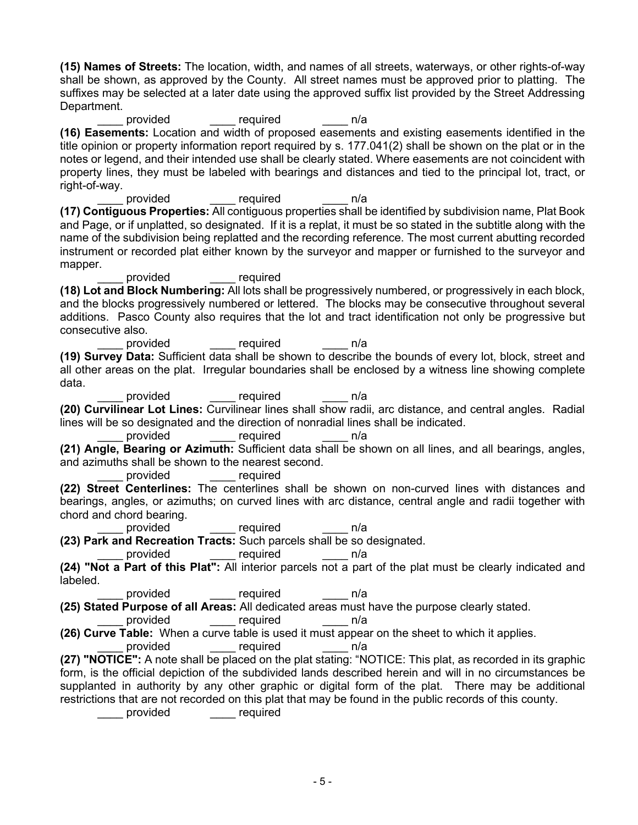**(15) Names of Streets:** The location, width, and names of all streets, waterways, or other rights-of-way shall be shown, as approved by the County. All street names must be approved prior to platting. The suffixes may be selected at a later date using the approved suffix list provided by the Street Addressing Department.

provided required n/a **(16) Easements:** Location and width of proposed easements and existing easements identified in the title opinion or property information report required by s. 177.041(2) shall be shown on the plat or in the notes or legend, and their intended use shall be clearly stated. Where easements are not coincident with property lines, they must be labeled with bearings and distances and tied to the principal lot, tract, or right-of-way.

provided required n/a **(17) Contiguous Properties:** All contiguous properties shall be identified by subdivision name, Plat Book and Page, or if unplatted, so designated. If it is a replat, it must be so stated in the subtitle along with the name of the subdivision being replatted and the recording reference. The most current abutting recorded instrument or recorded plat either known by the surveyor and mapper or furnished to the surveyor and mapper.

\_\_\_\_ provided \_\_\_\_ required

**(18) Lot and Block Numbering:** All lots shall be progressively numbered, or progressively in each block, and the blocks progressively numbered or lettered. The blocks may be consecutive throughout several additions. Pasco County also requires that the lot and tract identification not only be progressive but consecutive also.

provided required n/a **(19) Survey Data:** Sufficient data shall be shown to describe the bounds of every lot, block, street and all other areas on the plat. Irregular boundaries shall be enclosed by a witness line showing complete data.

provided required n/a **(20) Curvilinear Lot Lines:** Curvilinear lines shall show radii, arc distance, and central angles. Radial lines will be so designated and the direction of nonradial lines shall be indicated.

provided required n/a **(21) Angle, Bearing or Azimuth:** Sufficient data shall be shown on all lines, and all bearings, angles, and azimuths shall be shown to the nearest second.

provided required

**(22) Street Centerlines:** The centerlines shall be shown on non-curved lines with distances and bearings, angles, or azimuths; on curved lines with arc distance, central angle and radii together with chord and chord bearing.

required **n/a** 

**(23) Park and Recreation Tracts:** Such parcels shall be so designated.

provided required n/a

**(24) "Not a Part of this Plat":** All interior parcels not a part of the plat must be clearly indicated and labeled.

provided \_\_\_\_\_ required \_\_\_\_ n/a

**(25) Stated Purpose of all Areas:** All dedicated areas must have the purpose clearly stated.

provided required n/a

**(26) Curve Table:** When a curve table is used it must appear on the sheet to which it applies.

provided equired

**(27) "NOTICE":** A note shall be placed on the plat stating: "NOTICE: This plat, as recorded in its graphic form, is the official depiction of the subdivided lands described herein and will in no circumstances be supplanted in authority by any other graphic or digital form of the plat. There may be additional restrictions that are not recorded on this plat that may be found in the public records of this county.

\_\_\_\_ provided \_\_\_\_ required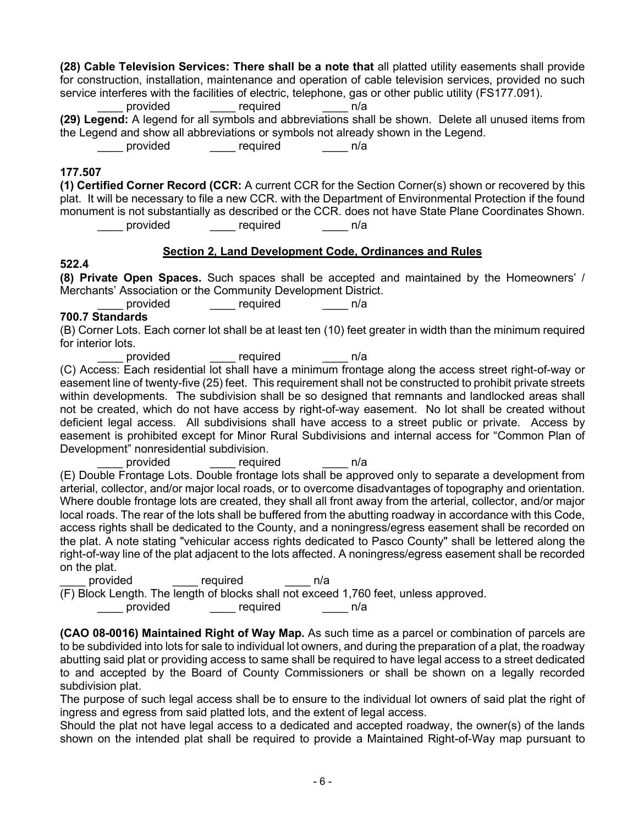**(28) Cable Television Services: There shall be a note that** all platted utility easements shall provide for construction, installation, maintenance and operation of cable television services, provided no such service interferes with the facilities of electric, telephone, gas or other public utility (FS177.091).

provided required n/a

**(29) Legend:** A legend for all symbols and abbreviations shall be shown. Delete all unused items from the Legend and show all abbreviations or symbols not already shown in the Legend.

provided \_\_\_\_\_ required \_\_\_\_\_ n/a

### **177.507**

**(1) Certified Corner Record (CCR:** A current CCR for the Section Corner(s) shown or recovered by this plat. It will be necessary to file a new CCR. with the Department of Environmental Protection if the found monument is not substantially as described or the CCR. does not have State Plane Coordinates Shown.<br>required n/a

\_\_\_\_\_ required \_\_\_\_ n/a

### **Section 2, Land Development Code, Ordinances and Rules**

### **522.4**

**(8) Private Open Spaces.** Such spaces shall be accepted and maintained by the Homeowners' / Merchants' Association or the Community Development District.

provided required n/a

# **700.7 Standards**

(B) Corner Lots. Each corner lot shall be at least ten (10) feet greater in width than the minimum required for interior lots.

provided \_\_\_\_\_ required \_\_\_\_ n/a

(C) Access: Each residential lot shall have a minimum frontage along the access street right-of-way or easement line of twenty-five (25) feet. This requirement shall not be constructed to prohibit private streets within developments. The subdivision shall be so designed that remnants and landlocked areas shall not be created, which do not have access by right-of-way easement. No lot shall be created without deficient legal access. All subdivisions shall have access to a street public or private. Access by easement is prohibited except for Minor Rural Subdivisions and internal access for "Common Plan of Development" nonresidential subdivision.

\_\_\_\_ provided \_\_\_\_ required \_\_\_\_ n/a

(E) Double Frontage Lots. Double frontage lots shall be approved only to separate a development from arterial, collector, and/or major local roads, or to overcome disadvantages of topography and orientation. Where double frontage lots are created, they shall all front away from the arterial, collector, and/or major local roads. The rear of the lots shall be buffered from the abutting roadway in accordance with this Code, access rights shall be dedicated to the County, and a noningress/egress easement shall be recorded on the plat. A note stating "vehicular access rights dedicated to Pasco County" shall be lettered along the right-of-way line of the plat adjacent to the lots affected. A noningress/egress easement shall be recorded on the plat.<br>provided

required **n/a** (F) Block Length. The length of blocks shall not exceed 1,760 feet, unless approved. provided equired n/a

**(CAO 08-0016) Maintained Right of Way Map.** As such time as a parcel or combination of parcels are to be subdivided into lots for sale to individual lot owners, and during the preparation of a plat, the roadway abutting said plat or providing access to same shall be required to have legal access to a street dedicated to and accepted by the Board of County Commissioners or shall be shown on a legally recorded subdivision plat.

The purpose of such legal access shall be to ensure to the individual lot owners of said plat the right of ingress and egress from said platted lots, and the extent of legal access.

Should the plat not have legal access to a dedicated and accepted roadway, the owner(s) of the lands shown on the intended plat shall be required to provide a Maintained Right-of-Way map pursuant to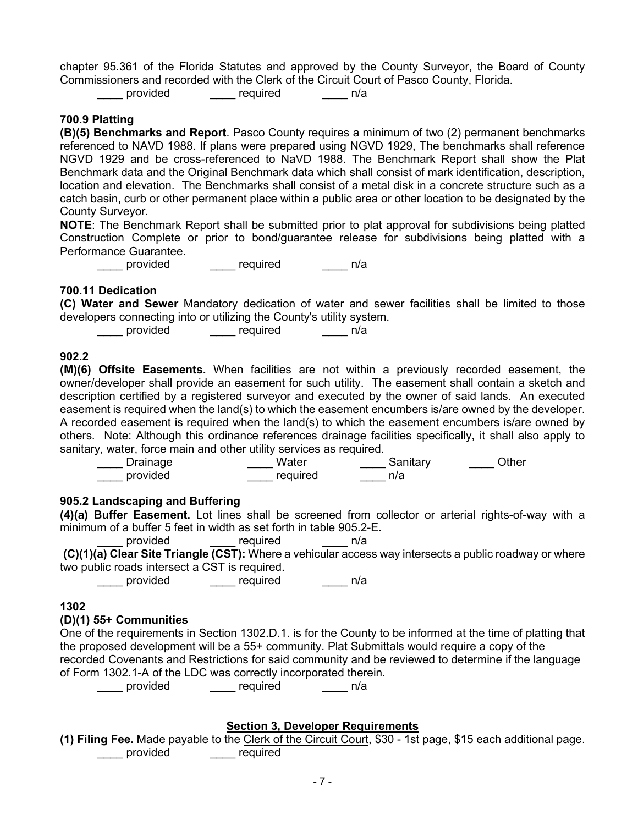chapter 95.361 of the Florida Statutes and approved by the County Surveyor, the Board of County Commissioners and recorded with the Clerk of the Circuit Court of Pasco County, Florida.

provided equired n/a

#### **700.9 Platting**

**(B)(5) Benchmarks and Report**. Pasco County requires a minimum of two (2) permanent benchmarks referenced to NAVD 1988. If plans were prepared using NGVD 1929, The benchmarks shall reference NGVD 1929 and be cross-referenced to NaVD 1988. The Benchmark Report shall show the Plat Benchmark data and the Original Benchmark data which shall consist of mark identification, description, location and elevation. The Benchmarks shall consist of a metal disk in a concrete structure such as a catch basin, curb or other permanent place within a public area or other location to be designated by the County Surveyor.

**NOTE**: The Benchmark Report shall be submitted prior to plat approval for subdivisions being platted Construction Complete or prior to bond/guarantee release for subdivisions being platted with a Performance Guarantee.

example of the contract of the provided and  $\frac{1}{2}$  required and  $\frac{1}{2}$  n/a

#### **700.11 Dedication**

**(C) Water and Sewer** Mandatory dedication of water and sewer facilities shall be limited to those developers connecting into or utilizing the County's utility system.

\_\_\_\_\_ provided \_\_\_\_\_ required \_\_\_\_\_ n/a

#### **902.2**

**(M)(6) Offsite Easements.** When facilities are not within a previously recorded easement, the owner/developer shall provide an easement for such utility. The easement shall contain a sketch and description certified by a registered surveyor and executed by the owner of said lands. An executed easement is required when the land(s) to which the easement encumbers is/are owned by the developer. A recorded easement is required when the land(s) to which the easement encumbers is/are owned by others. Note: Although this ordinance references drainage facilities specifically, it shall also apply to sanitary, water, force main and other utility services as required.

| Drainage | Water    | Sanitary | )ther |
|----------|----------|----------|-------|
| provided | required | n/a      |       |

#### **905.2 Landscaping and Buffering**

**(4)(a) Buffer Easement.** Lot lines shall be screened from collector or arterial rights-of-way with a minimum of a buffer 5 feet in width as set forth in table 905.2-E.

provided required n/a

**(C)(1)(a) Clear Site Triangle (CST):** Where a vehicular access way intersects a public roadway or where two public roads intersect a CST is required.

\_\_\_\_\_ provided \_\_\_\_\_ required \_\_\_\_\_ n/a

#### **1302**

#### **(D)(1) 55+ Communities**

One of the requirements in Section 1302.D.1. is for the County to be informed at the time of platting that the proposed development will be a 55+ community. Plat Submittals would require a copy of the recorded Covenants and Restrictions for said community and be reviewed to determine if the language of Form 1302.1-A of the LDC was correctly incorporated therein.

provided equired n/a

# **Section 3, Developer Requirements**

**(1) Filing Fee.** Made payable to the Clerk of the Circuit Court, \$30 - 1st page, \$15 each additional page. \_\_\_\_ provided \_\_\_\_ required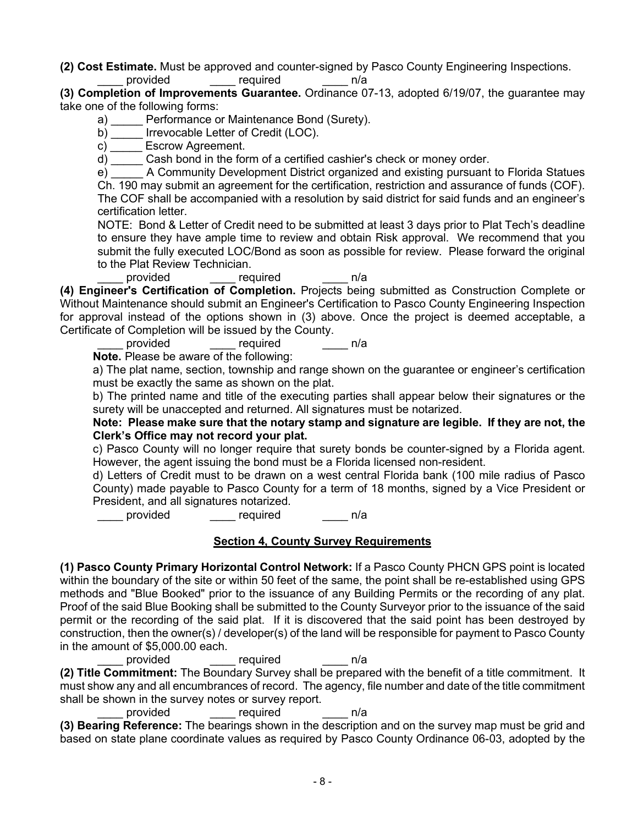**(2) Cost Estimate.** Must be approved and counter-signed by Pasco County Engineering Inspections.

required n/a

**(3) Completion of Improvements Guarantee.** Ordinance 07-13, adopted 6/19/07, the guarantee may take one of the following forms:

a) Performance or Maintenance Bond (Surety).

b) lrrevocable Letter of Credit (LOC).

c) Escrow Agreement.

d) \_\_\_\_\_ Cash bond in the form of a certified cashier's check or money order.

e) A Community Development District organized and existing pursuant to Florida Statues

Ch. 190 may submit an agreement for the certification, restriction and assurance of funds (COF). The COF shall be accompanied with a resolution by said district for said funds and an engineer's certification letter.

NOTE: Bond & Letter of Credit need to be submitted at least 3 days prior to Plat Tech's deadline to ensure they have ample time to review and obtain Risk approval. We recommend that you submit the fully executed LOC/Bond as soon as possible for review. Please forward the original to the Plat Review Technician.

provided required n/a

**(4) Engineer's Certification of Completion.** Projects being submitted as Construction Complete or Without Maintenance should submit an Engineer's Certification to Pasco County Engineering Inspection for approval instead of the options shown in (3) above. Once the project is deemed acceptable, a Certificate of Completion will be issued by the County.

provided required n/a

**Note.** Please be aware of the following:

a) The plat name, section, township and range shown on the guarantee or engineer's certification must be exactly the same as shown on the plat.

b) The printed name and title of the executing parties shall appear below their signatures or the surety will be unaccepted and returned. All signatures must be notarized.

**Note: Please make sure that the notary stamp and signature are legible. If they are not, the Clerk's Office may not record your plat.**

c) Pasco County will no longer require that surety bonds be counter-signed by a Florida agent. However, the agent issuing the bond must be a Florida licensed non-resident.

d) Letters of Credit must to be drawn on a west central Florida bank (100 mile radius of Pasco County) made payable to Pasco County for a term of 18 months, signed by a Vice President or President, and all signatures notarized.

provided provided required n/a

# **Section 4, County Survey Requirements**

**(1) Pasco County Primary Horizontal Control Network:** If a Pasco County PHCN GPS point is located within the boundary of the site or within 50 feet of the same, the point shall be re-established using GPS methods and "Blue Booked" prior to the issuance of any Building Permits or the recording of any plat. Proof of the said Blue Booking shall be submitted to the County Surveyor prior to the issuance of the said permit or the recording of the said plat. If it is discovered that the said point has been destroyed by construction, then the owner(s) / developer(s) of the land will be responsible for payment to Pasco County in the amount of \$5,000.00 each.

provided required n/a

**(2) Title Commitment:** The Boundary Survey shall be prepared with the benefit of a title commitment. It must show any and all encumbrances of record. The agency, file number and date of the title commitment shall be shown in the survey notes or survey report.

provided required n/a

**(3) Bearing Reference:** The bearings shown in the description and on the survey map must be grid and based on state plane coordinate values as required by Pasco County Ordinance 06-03, adopted by the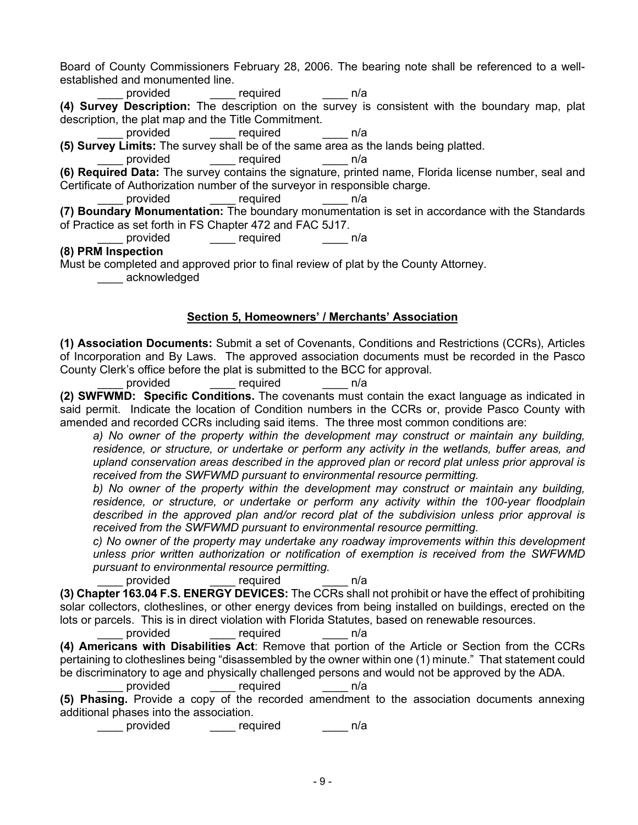Board of County Commissioners February 28, 2006. The bearing note shall be referenced to a wellestablished and monumented line.

required **n/a** 

**(4) Survey Description:** The description on the survey is consistent with the boundary map, plat description, the plat map and the Title Commitment.

provided required n/a

**(5) Survey Limits:** The survey shall be of the same area as the lands being platted.

provided required n/a

**(6) Required Data:** The survey contains the signature, printed name, Florida license number, seal and Certificate of Authorization number of the surveyor in responsible charge.

provided required n/a

**(7) Boundary Monumentation:** The boundary monumentation is set in accordance with the Standards of Practice as set forth in FS Chapter 472 and FAC 5J17.

provided <u>\_\_\_\_\_</u> required \_\_\_\_ n/a

**(8) PRM Inspection**

Must be completed and approved prior to final review of plat by the County Attorney.

\_\_\_\_ acknowledged

# **Section 5, Homeowners' / Merchants' Association**

**(1) Association Documents:** Submit a set of Covenants, Conditions and Restrictions (CCRs), Articles of Incorporation and By Laws. The approved association documents must be recorded in the Pasco County Clerk's office before the plat is submitted to the BCC for approval.

provided required n/a

**(2) SWFWMD: Specific Conditions.** The covenants must contain the exact language as indicated in said permit. Indicate the location of Condition numbers in the CCRs or, provide Pasco County with amended and recorded CCRs including said items. The three most common conditions are:

a) No owner of the property within the development may construct or maintain any building, *residence, or structure, or undertake or perform any activity in the wetlands, buffer areas, and upland conservation areas described in the approved plan or record plat unless prior approval is received from the SWFWMD pursuant to environmental resource permitting.*

*b) No owner of the property within the development may construct or maintain any building, residence, or structure, or undertake or perform any activity within the 100-year floodplain described in the approved plan and/or record plat of the subdivision unless prior approval is received from the SWFWMD pursuant to environmental resource permitting.*

*c) No owner of the property may undertake any roadway improvements within this development unless prior written authorization or notification of exemption is received from the SWFWMD pursuant to environmental resource permitting.*

provided required  $n/a$ 

**(3) Chapter 163.04 F.S. ENERGY DEVICES:** The CCRs shall not prohibit or have the effect of prohibiting solar collectors, clotheslines, or other energy devices from being installed on buildings, erected on the lots or parcels. This is in direct violation with Florida Statutes, based on renewable resources.

provided required n/a

**(4) Americans with Disabilities Act**: Remove that portion of the Article or Section from the CCRs pertaining to clotheslines being "disassembled by the owner within one (1) minute." That statement could be discriminatory to age and physically challenged persons and would not be approved by the ADA.

provided required n/a

**(5) Phasing.** Provide a copy of the recorded amendment to the association documents annexing additional phases into the association.

\_\_\_\_ provided \_\_\_\_ required \_\_\_\_ n/a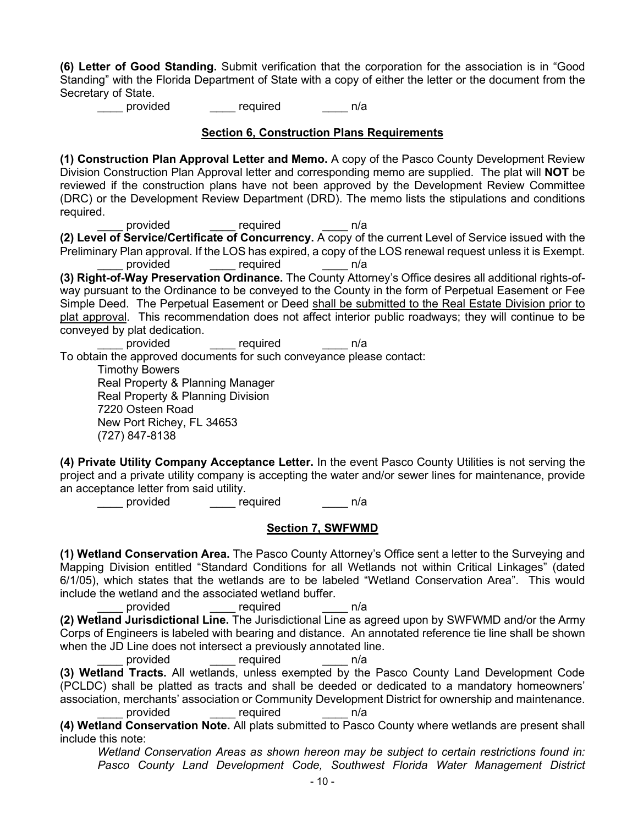**(6) Letter of Good Standing.** Submit verification that the corporation for the association is in "Good Standing" with the Florida Department of State with a copy of either the letter or the document from the Secretary of State.

provided equired n/a

#### **Section 6, Construction Plans Requirements**

**(1) Construction Plan Approval Letter and Memo.** A copy of the Pasco County Development Review Division Construction Plan Approval letter and corresponding memo are supplied. The plat will **NOT** be reviewed if the construction plans have not been approved by the Development Review Committee (DRC) or the Development Review Department (DRD). The memo lists the stipulations and conditions required.

provided required h/a

**(2) Level of Service/Certificate of Concurrency.** A copy of the current Level of Service issued with the Preliminary Plan approval. If the LOS has expired, a copy of the LOS renewal request unless it is Exempt. provided required n/a

**(3) Right-of-Way Preservation Ordinance.** The County Attorney's Office desires all additional rights-ofway pursuant to the Ordinance to be conveyed to the County in the form of Perpetual Easement or Fee Simple Deed. The Perpetual Easement or Deed shall be submitted to the Real Estate Division prior to plat approval. This recommendation does not affect interior public roadways; they will continue to be conveyed by plat dedication.

provided required n/a To obtain the approved documents for such conveyance please contact: Timothy Bowers Real Property & Planning Manager

Real Property & Planning Division

7220 Osteen Road New Port Richey, FL 34653

(727) 847-8138

**(4) Private Utility Company Acceptance Letter.** In the event Pasco County Utilities is not serving the project and a private utility company is accepting the water and/or sewer lines for maintenance, provide an acceptance letter from said utility.

provided equired n/a

# **Section 7, SWFWMD**

**(1) Wetland Conservation Area.** The Pasco County Attorney's Office sent a letter to the Surveying and Mapping Division entitled "Standard Conditions for all Wetlands not within Critical Linkages" (dated 6/1/05), which states that the wetlands are to be labeled "Wetland Conservation Area". This would include the wetland and the associated wetland buffer.

provided required n/a **(2) Wetland Jurisdictional Line.** The Jurisdictional Line as agreed upon by SWFWMD and/or the Army Corps of Engineers is labeled with bearing and distance. An annotated reference tie line shall be shown when the JD Line does not intersect a previously annotated line.

provided required n/a

**(3) Wetland Tracts.** All wetlands, unless exempted by the Pasco County Land Development Code (PCLDC) shall be platted as tracts and shall be deeded or dedicated to a mandatory homeowners' association, merchants' association or Community Development District for ownership and maintenance.

provided required n/a

**(4) Wetland Conservation Note.** All plats submitted to Pasco County where wetlands are present shall include this note:

 *Wetland Conservation Areas as shown hereon may be subject to certain restrictions found in: Pasco County Land Development Code, Southwest Florida Water Management District*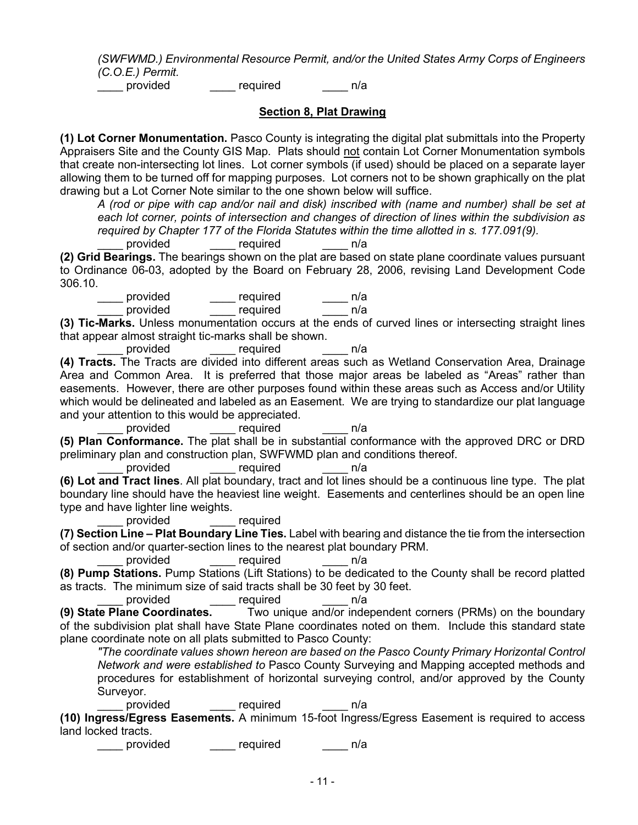*(SWFWMD.) Environmental Resource Permit, and/or the United States Army Corps of Engineers (C.O.E.) Permit.*

example provided and the required and provided and  $n/a$ 

**Section 8, Plat Drawing**

**(1) Lot Corner Monumentation.** Pasco County is integrating the digital plat submittals into the Property Appraisers Site and the County GIS Map. Plats should not contain Lot Corner Monumentation symbols that create non-intersecting lot lines. Lot corner symbols (if used) should be placed on a separate layer allowing them to be turned off for mapping purposes. Lot corners not to be shown graphically on the plat drawing but a Lot Corner Note similar to the one shown below will suffice.

*A (rod or pipe with cap and/or nail and disk) inscribed with (name and number) shall be set at each lot corner, points of intersection and changes of direction of lines within the subdivision as required by Chapter 177 of the Florida Statutes within the time allotted in s. 177.091(9).*

provided required n/a

**(2) Grid Bearings.** The bearings shown on the plat are based on state plane coordinate values pursuant to Ordinance 06-03, adopted by the Board on February 28, 2006, revising Land Development Code 306.10.

provided \_\_\_\_\_\_ required \_\_\_\_\_\_ n/a<br>provided \_\_\_\_\_ required \_\_\_\_\_\_ n/a required **n/a** 

**(3) Tic-Marks.** Unless monumentation occurs at the ends of curved lines or intersecting straight lines that appear almost straight tic-marks shall be shown.

provided required n/a

**(4) Tracts.** The Tracts are divided into different areas such as Wetland Conservation Area, Drainage Area and Common Area. It is preferred that those major areas be labeled as "Areas" rather than easements. However, there are other purposes found within these areas such as Access and/or Utility which would be delineated and labeled as an Easement. We are trying to standardize our plat language and your attention to this would be appreciated.

provided required n/a **(5) Plan Conformance.** The plat shall be in substantial conformance with the approved DRC or DRD preliminary plan and construction plan, SWFWMD plan and conditions thereof.

provided required n/a

**(6) Lot and Tract lines**. All plat boundary, tract and lot lines should be a continuous line type. The plat boundary line should have the heaviest line weight. Easements and centerlines should be an open line type and have lighter line weights.

provided required

**(7) Section Line – Plat Boundary Line Ties.** Label with bearing and distance the tie from the intersection of section and/or quarter-section lines to the nearest plat boundary PRM.

provided required n/a

**(8) Pump Stations.** Pump Stations (Lift Stations) to be dedicated to the County shall be record platted as tracts. The minimum size of said tracts shall be 30 feet by 30 feet.

provided \_\_\_\_ required \_\_\_\_ n/a

**(9) State Plane Coordinates.** Two unique and/or independent corners (PRMs) on the boundary of the subdivision plat shall have State Plane coordinates noted on them. Include this standard state plane coordinate note on all plats submitted to Pasco County:

*"The coordinate values shown hereon are based on the Pasco County Primary Horizontal Control Network and were established to* Pasco County Surveying and Mapping accepted methods and procedures for establishment of horizontal surveying control, and/or approved by the County Surveyor.

provided required n/a **(10) Ingress/Egress Easements.** A minimum 15-foot Ingress/Egress Easement is required to access land locked tracts.

provided required n/a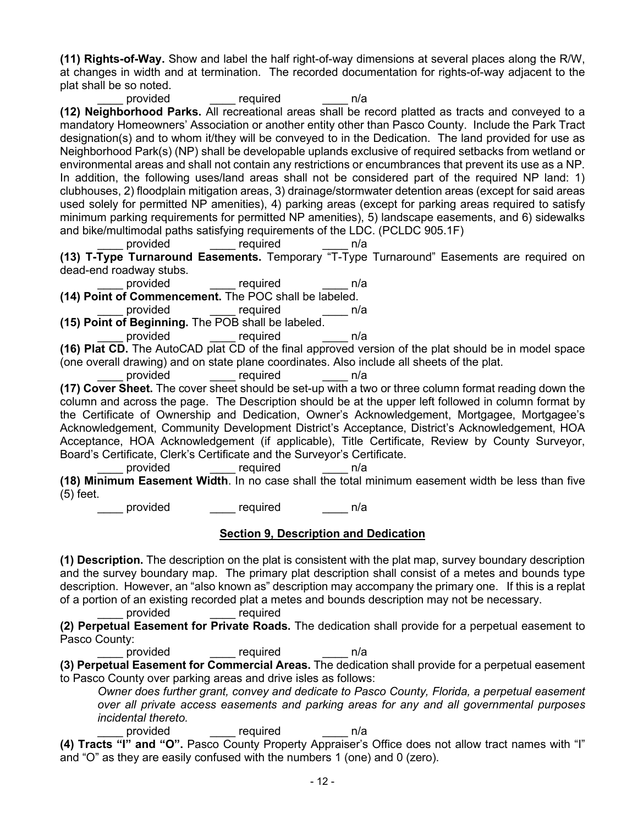**(11) Rights-of-Way.** Show and label the half right-of-way dimensions at several places along the R/W, at changes in width and at termination. The recorded documentation for rights-of-way adjacent to the plat shall be so noted.

provided required n/a **(12) Neighborhood Parks.** All recreational areas shall be record platted as tracts and conveyed to a mandatory Homeowners' Association or another entity other than Pasco County. Include the Park Tract designation(s) and to whom it/they will be conveyed to in the Dedication. The land provided for use as Neighborhood Park(s) (NP) shall be developable uplands exclusive of required setbacks from wetland or environmental areas and shall not contain any restrictions or encumbrances that prevent its use as a NP. In addition, the following uses/land areas shall not be considered part of the required NP land: 1) clubhouses, 2) floodplain mitigation areas, 3) drainage/stormwater detention areas (except for said areas used solely for permitted NP amenities), 4) parking areas (except for parking areas required to satisfy minimum parking requirements for permitted NP amenities), 5) landscape easements, and 6) sidewalks and bike/multimodal paths satisfying requirements of the LDC. (PCLDC 905.1F)

provided required n/a

**(13) T-Type Turnaround Easements.** Temporary "T-Type Turnaround" Easements are required on dead-end roadway stubs.

provided required n/a **(14) Point of Commencement.** The POC shall be labeled.

provided

**(15) Point of Beginning.** The POB shall be labeled. provided required n/a

**(16) Plat CD.** The AutoCAD plat CD of the final approved version of the plat should be in model space (one overall drawing) and on state plane coordinates. Also include all sheets of the plat.

\_\_\_\_ provided \_\_\_\_ required \_\_\_\_ n/a

**(17) Cover Sheet.** The cover sheet should be set-up with a two or three column format reading down the column and across the page. The Description should be at the upper left followed in column format by the Certificate of Ownership and Dedication, Owner's Acknowledgement, Mortgagee, Mortgagee's Acknowledgement, Community Development District's Acceptance, District's Acknowledgement, HOA Acceptance, HOA Acknowledgement (if applicable), Title Certificate, Review by County Surveyor, Board's Certificate, Clerk's Certificate and the Surveyor's Certificate.

provided required n/a

**(18) Minimum Easement Width**. In no case shall the total minimum easement width be less than five (5) feet.

provided equired h/a

#### **Section 9, Description and Dedication**

**(1) Description.** The description on the plat is consistent with the plat map, survey boundary description and the survey boundary map. The primary plat description shall consist of a metes and bounds type description. However, an "also known as" description may accompany the primary one. If this is a replat of a portion of an existing recorded plat a metes and bounds description may not be necessary.

provided required

**(2) Perpetual Easement for Private Roads.** The dedication shall provide for a perpetual easement to Pasco County:

provided required n/a

**(3) Perpetual Easement for Commercial Areas.** The dedication shall provide for a perpetual easement to Pasco County over parking areas and drive isles as follows:

*Owner does further grant, convey and dedicate to Pasco County, Florida, a perpetual easement over all private access easements and parking areas for any and all governmental purposes incidental thereto.*

\_\_\_\_ required \_\_\_\_ n/a

**(4) Tracts "I" and "O".** Pasco County Property Appraiser's Office does not allow tract names with "I" and "O" as they are easily confused with the numbers 1 (one) and 0 (zero).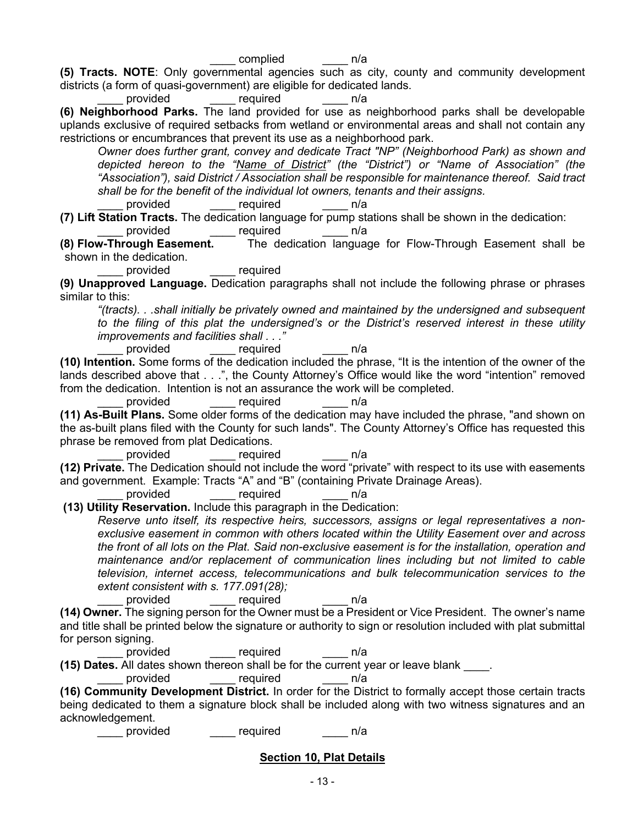**(5) Tracts. NOTE**: Only governmental agencies such as city, county and community development districts (a form of quasi-government) are eligible for dedicated lands.

provided required n/a

**(6) Neighborhood Parks.** The land provided for use as neighborhood parks shall be developable uplands exclusive of required setbacks from wetland or environmental areas and shall not contain any restrictions or encumbrances that prevent its use as a neighborhood park.

*Owner does further grant, convey and dedicate Tract "NP" (Neighborhood Park) as shown and depicted hereon to the "Name of District" (the "District") or "Name of Association" (the "Association"), said District / Association shall be responsible for maintenance thereof. Said tract shall be for the benefit of the individual lot owners, tenants and their assigns.*

provided expression required

**(7) Lift Station Tracts.** The dedication language for pump stations shall be shown in the dedication:

provided required n/a

**(8) Flow-Through Easement.** The dedication language for Flow-Through Easement shall be shown in the dedication.

provided required

**(9) Unapproved Language.** Dedication paragraphs shall not include the following phrase or phrases similar to this:

*"(tracts). . .shall initially be privately owned and maintained by the undersigned and subsequent to the filing of this plat the undersigned's or the District's reserved interest in these utility improvements and facilities shall . . ."*

provided required n/a

**(10) Intention.** Some forms of the dedication included the phrase, "It is the intention of the owner of the lands described above that . . .", the County Attorney's Office would like the word "intention" removed from the dedication. Intention is not an assurance the work will be completed.

provided required n/a

**(11) As-Built Plans.** Some older forms of the dedication may have included the phrase, "and shown on the as-built plans filed with the County for such lands". The County Attorney's Office has requested this phrase be removed from plat Dedications.

provided required n/a

**(12) Private.** The Dedication should not include the word "private" with respect to its use with easements and government. Example: Tracts "A" and "B" (containing Private Drainage Areas).

provided required n/a

**(13) Utility Reservation.** Include this paragraph in the Dedication:

*Reserve unto itself, its respective heirs, successors, assigns or legal representatives a nonexclusive easement in common with others located within the Utility Easement over and across the front of all lots on the Plat. Said non-exclusive easement is for the installation, operation and maintenance and/or replacement of communication lines including but not limited to cable television, internet access, telecommunications and bulk telecommunication services to the extent consistent with s. 177.091(28);*

provided <u>equired</u> n/a

**(14) Owner.** The signing person for the Owner must be a President or Vice President. The owner's name and title shall be printed below the signature or authority to sign or resolution included with plat submittal for person signing.

provided required n/a

**(15) Dates.** All dates shown thereon shall be for the current year or leave blank \_\_\_\_.

provided equired n/a

**(16) Community Development District.** In order for the District to formally accept those certain tracts being dedicated to them a signature block shall be included along with two witness signatures and an acknowledgement.

provided equired n/a

# **Section 10, Plat Details**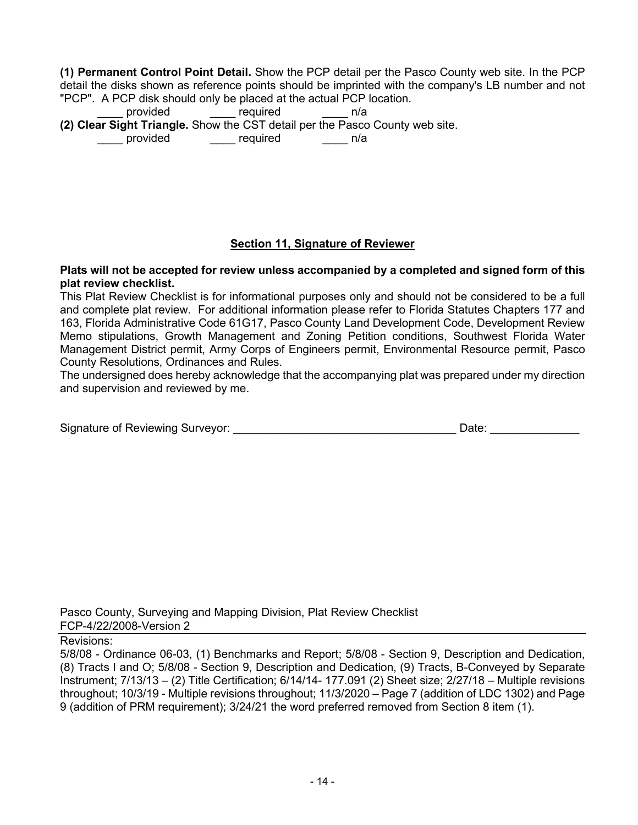**(1) Permanent Control Point Detail.** Show the PCP detail per the Pasco County web site. In the PCP detail the disks shown as reference points should be imprinted with the company's LB number and not "PCP". A PCP disk should only be placed at the actual PCP location.

provided <u>\_\_\_\_\_</u> required \_\_\_\_\_\_ n/a **(2) Clear Sight Triangle.** Show the CST detail per the Pasco County web site. provided expression required

# **Section 11, Signature of Reviewer**

#### **Plats will not be accepted for review unless accompanied by a completed and signed form of this plat review checklist.**

This Plat Review Checklist is for informational purposes only and should not be considered to be a full and complete plat review. For additional information please refer to Florida Statutes Chapters 177 and 163, Florida Administrative Code 61G17, Pasco County Land Development Code, Development Review Memo stipulations, Growth Management and Zoning Petition conditions, Southwest Florida Water Management District permit, Army Corps of Engineers permit, Environmental Resource permit, Pasco County Resolutions, Ordinances and Rules.

The undersigned does hereby acknowledge that the accompanying plat was prepared under my direction and supervision and reviewed by me.

| Signature of Reviewing Surveyor: | Date |
|----------------------------------|------|
|                                  |      |

Pasco County, Surveying and Mapping Division, Plat Review Checklist FCP-4/22/2008-Version 2

#### Revisions:

5/8/08 - Ordinance 06-03, (1) Benchmarks and Report; 5/8/08 - Section 9, Description and Dedication, (8) Tracts I and O; 5/8/08 - Section 9, Description and Dedication, (9) Tracts, B-Conveyed by Separate Instrument; 7/13/13 – (2) Title Certification; 6/14/14- 177.091 (2) Sheet size; 2/27/18 – Multiple revisions throughout; 10/3/19 - Multiple revisions throughout; 11/3/2020 – Page 7 (addition of LDC 1302) and Page 9 (addition of PRM requirement); 3/24/21 the word preferred removed from Section 8 item (1).